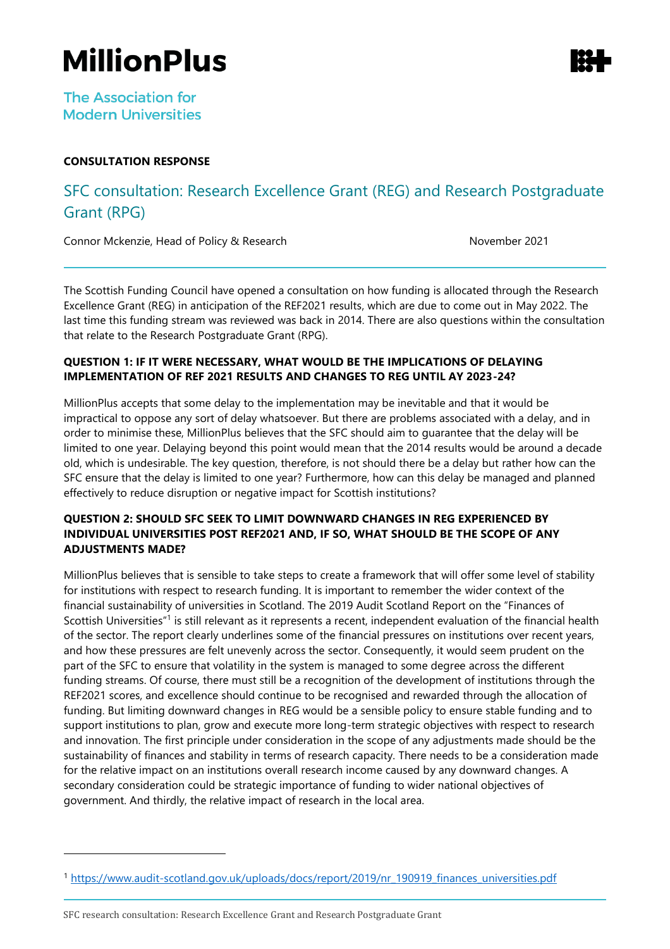# **MillionPlus**

**The Association for Modern Universities** 

# **CONSULTATION RESPONSE**

# SFC consultation: Research Excellence Grant (REG) and Research Postgraduate Grant (RPG)

Connor Mckenzie, Head of Policy & Research November 2021

The Scottish Funding Council have opened a consultation on how funding is allocated through the Research Excellence Grant (REG) in anticipation of the REF2021 results, which are due to come out in May 2022. The last time this funding stream was reviewed was back in 2014. There are also questions within the consultation that relate to the Research Postgraduate Grant (RPG).

# **QUESTION 1: IF IT WERE NECESSARY, WHAT WOULD BE THE IMPLICATIONS OF DELAYING IMPLEMENTATION OF REF 2021 RESULTS AND CHANGES TO REG UNTIL AY 2023-24?**

MillionPlus accepts that some delay to the implementation may be inevitable and that it would be impractical to oppose any sort of delay whatsoever. But there are problems associated with a delay, and in order to minimise these, MillionPlus believes that the SFC should aim to guarantee that the delay will be limited to one year. Delaying beyond this point would mean that the 2014 results would be around a decade old, which is undesirable. The key question, therefore, is not should there be a delay but rather how can the SFC ensure that the delay is limited to one year? Furthermore, how can this delay be managed and planned effectively to reduce disruption or negative impact for Scottish institutions?

# **QUESTION 2: SHOULD SFC SEEK TO LIMIT DOWNWARD CHANGES IN REG EXPERIENCED BY INDIVIDUAL UNIVERSITIES POST REF2021 AND, IF SO, WHAT SHOULD BE THE SCOPE OF ANY ADJUSTMENTS MADE?**

MillionPlus believes that is sensible to take steps to create a framework that will offer some level of stability for institutions with respect to research funding. It is important to remember the wider context of the financial sustainability of universities in Scotland. The 2019 Audit Scotland Report on the "Finances of Scottish Universities"<sup>1</sup> is still relevant as it represents a recent, independent evaluation of the financial health of the sector. The report clearly underlines some of the financial pressures on institutions over recent years, and how these pressures are felt unevenly across the sector. Consequently, it would seem prudent on the part of the SFC to ensure that volatility in the system is managed to some degree across the different funding streams. Of course, there must still be a recognition of the development of institutions through the REF2021 scores, and excellence should continue to be recognised and rewarded through the allocation of funding. But limiting downward changes in REG would be a sensible policy to ensure stable funding and to support institutions to plan, grow and execute more long-term strategic objectives with respect to research and innovation. The first principle under consideration in the scope of any adjustments made should be the sustainability of finances and stability in terms of research capacity. There needs to be a consideration made for the relative impact on an institutions overall research income caused by any downward changes. A secondary consideration could be strategic importance of funding to wider national objectives of government. And thirdly, the relative impact of research in the local area.



<sup>&</sup>lt;sup>1</sup> [https://www.audit-scotland.gov.uk/uploads/docs/report/2019/nr\\_190919\\_finances\\_universities.pdf](https://www.audit-scotland.gov.uk/uploads/docs/report/2019/nr_190919_finances_universities.pdf)

SFC research consultation: Research Excellence Grant and Research Postgraduate Grant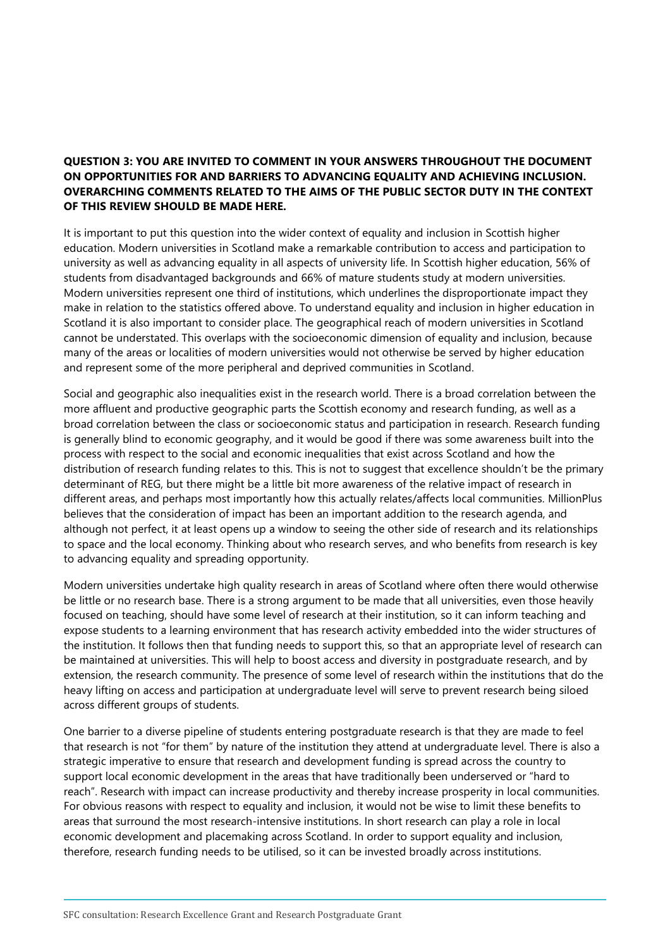## **QUESTION 3: YOU ARE INVITED TO COMMENT IN YOUR ANSWERS THROUGHOUT THE DOCUMENT ON OPPORTUNITIES FOR AND BARRIERS TO ADVANCING EQUALITY AND ACHIEVING INCLUSION. OVERARCHING COMMENTS RELATED TO THE AIMS OF THE PUBLIC SECTOR DUTY IN THE CONTEXT OF THIS REVIEW SHOULD BE MADE HERE.**

It is important to put this question into the wider context of equality and inclusion in Scottish higher education. Modern universities in Scotland make a remarkable contribution to access and participation to university as well as advancing equality in all aspects of university life. In Scottish higher education, 56% of students from disadvantaged backgrounds and 66% of mature students study at modern universities. Modern universities represent one third of institutions, which underlines the disproportionate impact they make in relation to the statistics offered above. To understand equality and inclusion in higher education in Scotland it is also important to consider place. The geographical reach of modern universities in Scotland cannot be understated. This overlaps with the socioeconomic dimension of equality and inclusion, because many of the areas or localities of modern universities would not otherwise be served by higher education and represent some of the more peripheral and deprived communities in Scotland.

Social and geographic also inequalities exist in the research world. There is a broad correlation between the more affluent and productive geographic parts the Scottish economy and research funding, as well as a broad correlation between the class or socioeconomic status and participation in research. Research funding is generally blind to economic geography, and it would be good if there was some awareness built into the process with respect to the social and economic inequalities that exist across Scotland and how the distribution of research funding relates to this. This is not to suggest that excellence shouldn't be the primary determinant of REG, but there might be a little bit more awareness of the relative impact of research in different areas, and perhaps most importantly how this actually relates/affects local communities. MillionPlus believes that the consideration of impact has been an important addition to the research agenda, and although not perfect, it at least opens up a window to seeing the other side of research and its relationships to space and the local economy. Thinking about who research serves, and who benefits from research is key to advancing equality and spreading opportunity.

Modern universities undertake high quality research in areas of Scotland where often there would otherwise be little or no research base. There is a strong argument to be made that all universities, even those heavily focused on teaching, should have some level of research at their institution, so it can inform teaching and expose students to a learning environment that has research activity embedded into the wider structures of the institution. It follows then that funding needs to support this, so that an appropriate level of research can be maintained at universities. This will help to boost access and diversity in postgraduate research, and by extension, the research community. The presence of some level of research within the institutions that do the heavy lifting on access and participation at undergraduate level will serve to prevent research being siloed across different groups of students.

One barrier to a diverse pipeline of students entering postgraduate research is that they are made to feel that research is not "for them" by nature of the institution they attend at undergraduate level. There is also a strategic imperative to ensure that research and development funding is spread across the country to support local economic development in the areas that have traditionally been underserved or "hard to reach". Research with impact can increase productivity and thereby increase prosperity in local communities. For obvious reasons with respect to equality and inclusion, it would not be wise to limit these benefits to areas that surround the most research-intensive institutions. In short research can play a role in local economic development and placemaking across Scotland. In order to support equality and inclusion, therefore, research funding needs to be utilised, so it can be invested broadly across institutions.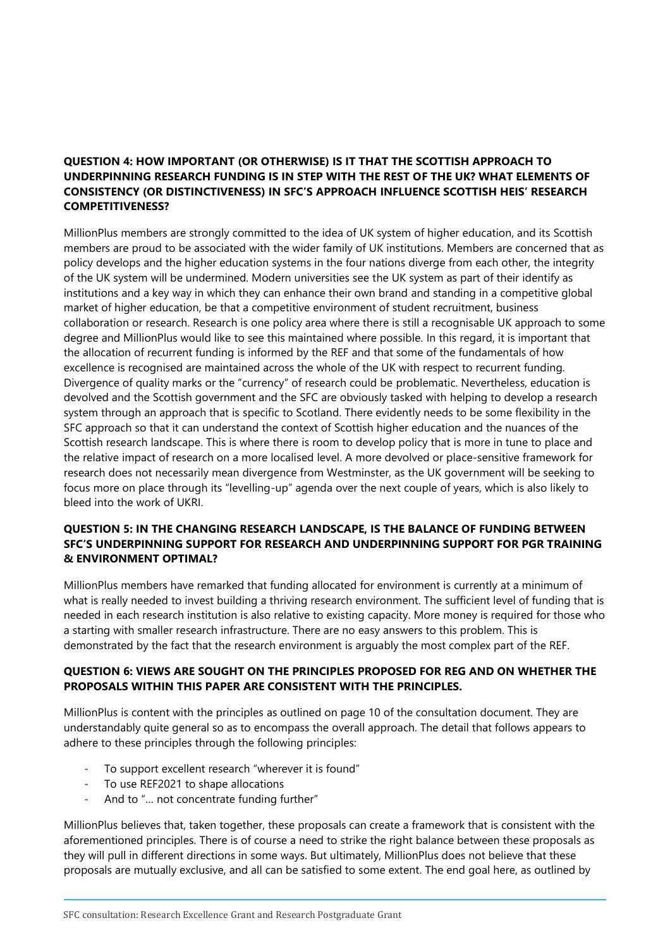## **QUESTION 4: HOW IMPORTANT (OR OTHERWISE) IS IT THAT THE SCOTTISH APPROACH TO UNDERPINNING RESEARCH FUNDING IS IN STEP WITH THE REST OF THE UK? WHAT ELEMENTS OF CONSISTENCY (OR DISTINCTIVENESS) IN SFC'S APPROACH INFLUENCE SCOTTISH HEIS' RESEARCH COMPETITIVENESS?**

MillionPlus members are strongly committed to the idea of UK system of higher education, and its Scottish members are proud to be associated with the wider family of UK institutions. Members are concerned that as policy develops and the higher education systems in the four nations diverge from each other, the integrity of the UK system will be undermined. Modern universities see the UK system as part of their identify as institutions and a key way in which they can enhance their own brand and standing in a competitive global market of higher education, be that a competitive environment of student recruitment, business collaboration or research. Research is one policy area where there is still a recognisable UK approach to some degree and MillionPlus would like to see this maintained where possible. In this regard, it is important that the allocation of recurrent funding is informed by the REF and that some of the fundamentals of how excellence is recognised are maintained across the whole of the UK with respect to recurrent funding. Divergence of quality marks or the "currency" of research could be problematic. Nevertheless, education is devolved and the Scottish government and the SFC are obviously tasked with helping to develop a research system through an approach that is specific to Scotland. There evidently needs to be some flexibility in the SFC approach so that it can understand the context of Scottish higher education and the nuances of the Scottish research landscape. This is where there is room to develop policy that is more in tune to place and the relative impact of research on a more localised level. A more devolved or place-sensitive framework for research does not necessarily mean divergence from Westminster, as the UK government will be seeking to focus more on place through its "levelling-up" agenda over the next couple of years, which is also likely to bleed into the work of UKRI.

#### **QUESTION 5: IN THE CHANGING RESEARCH LANDSCAPE, IS THE BALANCE OF FUNDING BETWEEN SFC'S UNDERPINNING SUPPORT FOR RESEARCH AND UNDERPINNING SUPPORT FOR PGR TRAINING & ENVIRONMENT OPTIMAL?**

MillionPlus members have remarked that funding allocated for environment is currently at a minimum of what is really needed to invest building a thriving research environment. The sufficient level of funding that is needed in each research institution is also relative to existing capacity. More money is required for those who a starting with smaller research infrastructure. There are no easy answers to this problem. This is demonstrated by the fact that the research environment is arguably the most complex part of the REF.

# **QUESTION 6: VIEWS ARE SOUGHT ON THE PRINCIPLES PROPOSED FOR REG AND ON WHETHER THE PROPOSALS WITHIN THIS PAPER ARE CONSISTENT WITH THE PRINCIPLES.**

MillionPlus is content with the principles as outlined on page 10 of the consultation document. They are understandably quite general so as to encompass the overall approach. The detail that follows appears to adhere to these principles through the following principles:

- To support excellent research "wherever it is found"
- To use REF2021 to shape allocations
- And to "… not concentrate funding further"

MillionPlus believes that, taken together, these proposals can create a framework that is consistent with the aforementioned principles. There is of course a need to strike the right balance between these proposals as they will pull in different directions in some ways. But ultimately, MillionPlus does not believe that these proposals are mutually exclusive, and all can be satisfied to some extent. The end goal here, as outlined by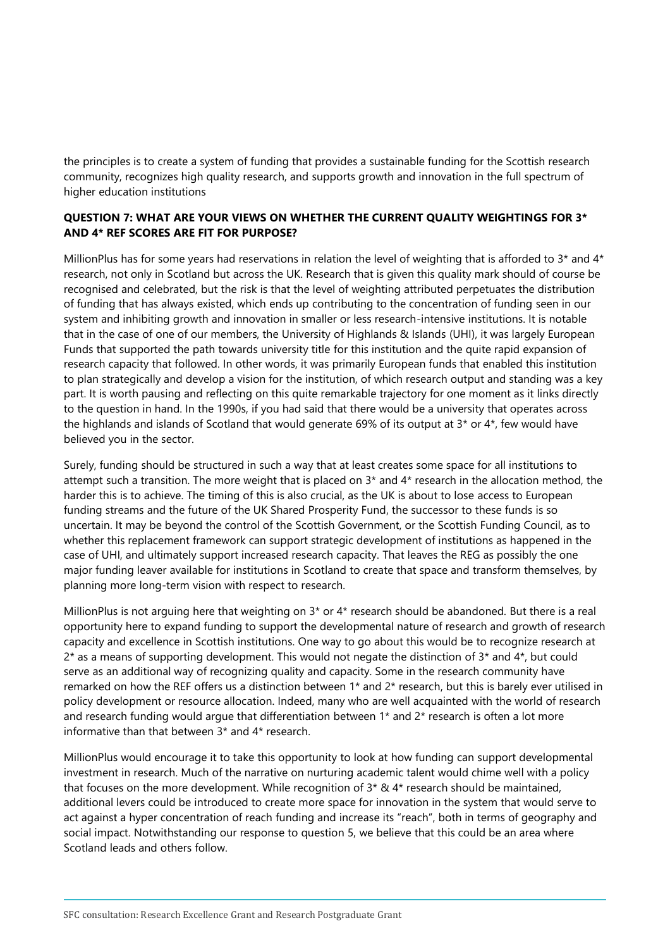the principles is to create a system of funding that provides a sustainable funding for the Scottish research community, recognizes high quality research, and supports growth and innovation in the full spectrum of higher education institutions

#### **QUESTION 7: WHAT ARE YOUR VIEWS ON WHETHER THE CURRENT QUALITY WEIGHTINGS FOR 3\* AND 4\* REF SCORES ARE FIT FOR PURPOSE?**

MillionPlus has for some years had reservations in relation the level of weighting that is afforded to  $3*$  and  $4*$ research, not only in Scotland but across the UK. Research that is given this quality mark should of course be recognised and celebrated, but the risk is that the level of weighting attributed perpetuates the distribution of funding that has always existed, which ends up contributing to the concentration of funding seen in our system and inhibiting growth and innovation in smaller or less research-intensive institutions. It is notable that in the case of one of our members, the University of Highlands & Islands (UHI), it was largely European Funds that supported the path towards university title for this institution and the quite rapid expansion of research capacity that followed. In other words, it was primarily European funds that enabled this institution to plan strategically and develop a vision for the institution, of which research output and standing was a key part. It is worth pausing and reflecting on this quite remarkable trajectory for one moment as it links directly to the question in hand. In the 1990s, if you had said that there would be a university that operates across the highlands and islands of Scotland that would generate 69% of its output at  $3*$  or  $4*$ , few would have believed you in the sector.

Surely, funding should be structured in such a way that at least creates some space for all institutions to attempt such a transition. The more weight that is placed on 3\* and 4\* research in the allocation method, the harder this is to achieve. The timing of this is also crucial, as the UK is about to lose access to European funding streams and the future of the UK Shared Prosperity Fund, the successor to these funds is so uncertain. It may be beyond the control of the Scottish Government, or the Scottish Funding Council, as to whether this replacement framework can support strategic development of institutions as happened in the case of UHI, and ultimately support increased research capacity. That leaves the REG as possibly the one major funding leaver available for institutions in Scotland to create that space and transform themselves, by planning more long-term vision with respect to research.

MillionPlus is not arguing here that weighting on 3\* or 4\* research should be abandoned. But there is a real opportunity here to expand funding to support the developmental nature of research and growth of research capacity and excellence in Scottish institutions. One way to go about this would be to recognize research at  $2^*$  as a means of supporting development. This would not negate the distinction of  $3^*$  and  $4^*$ , but could serve as an additional way of recognizing quality and capacity. Some in the research community have remarked on how the REF offers us a distinction between 1\* and 2\* research, but this is barely ever utilised in policy development or resource allocation. Indeed, many who are well acquainted with the world of research and research funding would argue that differentiation between 1<sup>\*</sup> and 2<sup>\*</sup> research is often a lot more informative than that between 3\* and 4\* research.

MillionPlus would encourage it to take this opportunity to look at how funding can support developmental investment in research. Much of the narrative on nurturing academic talent would chime well with a policy that focuses on the more development. While recognition of  $3* 84*$  research should be maintained, additional levers could be introduced to create more space for innovation in the system that would serve to act against a hyper concentration of reach funding and increase its "reach", both in terms of geography and social impact. Notwithstanding our response to question 5, we believe that this could be an area where Scotland leads and others follow.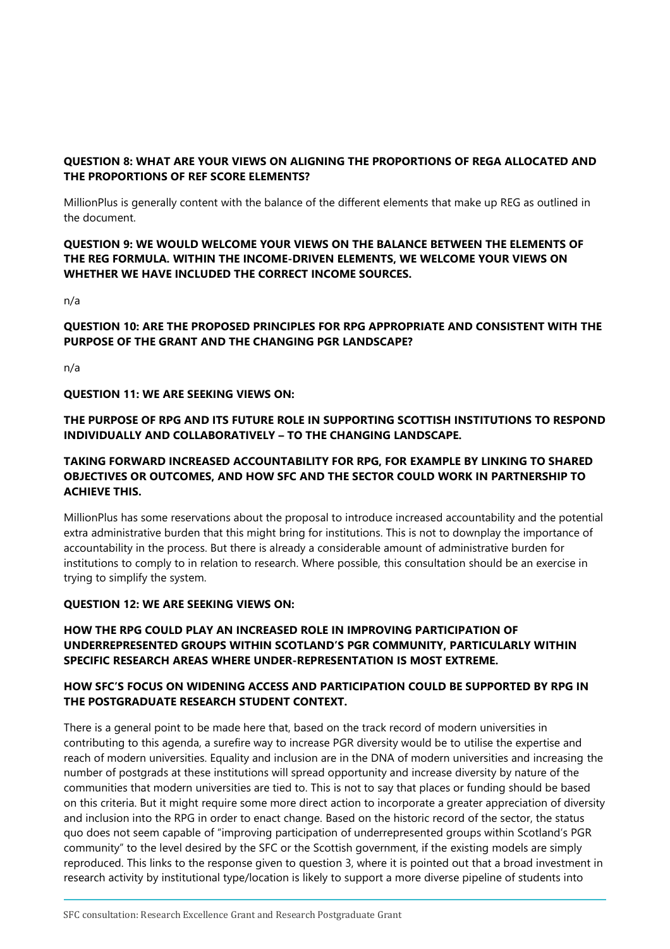# **QUESTION 8: WHAT ARE YOUR VIEWS ON ALIGNING THE PROPORTIONS OF REGA ALLOCATED AND THE PROPORTIONS OF REF SCORE ELEMENTS?**

MillionPlus is generally content with the balance of the different elements that make up REG as outlined in the document.

#### **QUESTION 9: WE WOULD WELCOME YOUR VIEWS ON THE BALANCE BETWEEN THE ELEMENTS OF THE REG FORMULA. WITHIN THE INCOME-DRIVEN ELEMENTS, WE WELCOME YOUR VIEWS ON WHETHER WE HAVE INCLUDED THE CORRECT INCOME SOURCES.**

n/a

# **QUESTION 10: ARE THE PROPOSED PRINCIPLES FOR RPG APPROPRIATE AND CONSISTENT WITH THE PURPOSE OF THE GRANT AND THE CHANGING PGR LANDSCAPE?**

n/a

#### **QUESTION 11: WE ARE SEEKING VIEWS ON:**

# **THE PURPOSE OF RPG AND ITS FUTURE ROLE IN SUPPORTING SCOTTISH INSTITUTIONS TO RESPOND INDIVIDUALLY AND COLLABORATIVELY – TO THE CHANGING LANDSCAPE.**

#### **TAKING FORWARD INCREASED ACCOUNTABILITY FOR RPG, FOR EXAMPLE BY LINKING TO SHARED OBJECTIVES OR OUTCOMES, AND HOW SFC AND THE SECTOR COULD WORK IN PARTNERSHIP TO ACHIEVE THIS.**

MillionPlus has some reservations about the proposal to introduce increased accountability and the potential extra administrative burden that this might bring for institutions. This is not to downplay the importance of accountability in the process. But there is already a considerable amount of administrative burden for institutions to comply to in relation to research. Where possible, this consultation should be an exercise in trying to simplify the system.

#### **QUESTION 12: WE ARE SEEKING VIEWS ON:**

# **HOW THE RPG COULD PLAY AN INCREASED ROLE IN IMPROVING PARTICIPATION OF UNDERREPRESENTED GROUPS WITHIN SCOTLAND'S PGR COMMUNITY, PARTICULARLY WITHIN SPECIFIC RESEARCH AREAS WHERE UNDER-REPRESENTATION IS MOST EXTREME.**

# **HOW SFC'S FOCUS ON WIDENING ACCESS AND PARTICIPATION COULD BE SUPPORTED BY RPG IN THE POSTGRADUATE RESEARCH STUDENT CONTEXT.**

There is a general point to be made here that, based on the track record of modern universities in contributing to this agenda, a surefire way to increase PGR diversity would be to utilise the expertise and reach of modern universities. Equality and inclusion are in the DNA of modern universities and increasing the number of postgrads at these institutions will spread opportunity and increase diversity by nature of the communities that modern universities are tied to. This is not to say that places or funding should be based on this criteria. But it might require some more direct action to incorporate a greater appreciation of diversity and inclusion into the RPG in order to enact change. Based on the historic record of the sector, the status quo does not seem capable of "improving participation of underrepresented groups within Scotland's PGR community" to the level desired by the SFC or the Scottish government, if the existing models are simply reproduced. This links to the response given to question 3, where it is pointed out that a broad investment in research activity by institutional type/location is likely to support a more diverse pipeline of students into